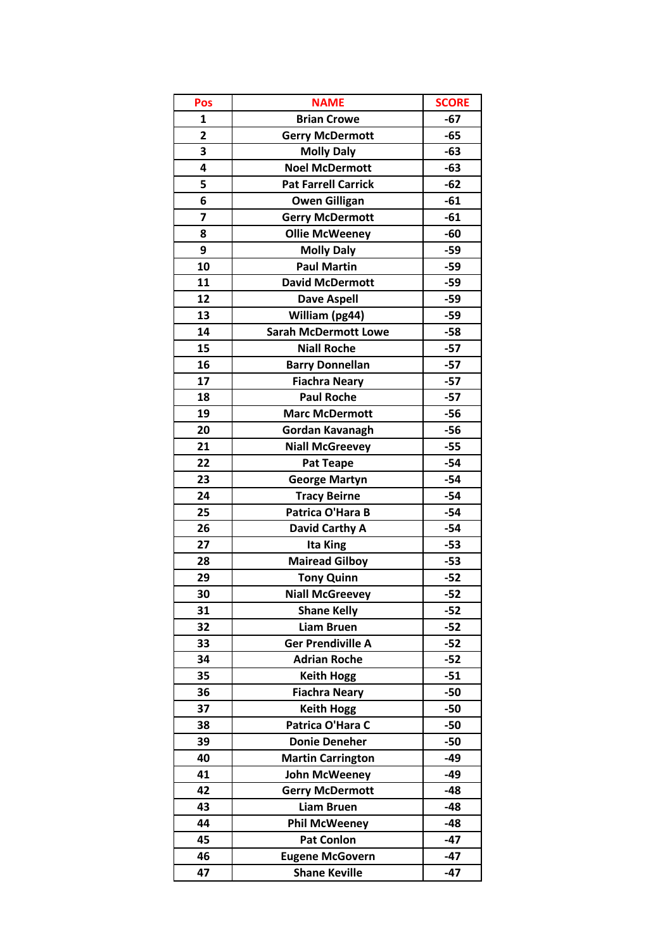| Pos                     | <b>NAME</b>                 | <b>SCORE</b> |
|-------------------------|-----------------------------|--------------|
| 1                       | <b>Brian Crowe</b>          | $-67$        |
| $\overline{\mathbf{2}}$ | <b>Gerry McDermott</b>      | $-65$        |
| 3                       | <b>Molly Daly</b>           | $-63$        |
| 4                       | <b>Noel McDermott</b>       | $-63$        |
| 5                       | <b>Pat Farrell Carrick</b>  | $-62$        |
| 6                       | <b>Owen Gilligan</b>        | $-61$        |
| $\overline{7}$          | <b>Gerry McDermott</b>      | $-61$        |
| 8                       | <b>Ollie McWeeney</b>       | $-60$        |
| 9                       | <b>Molly Daly</b>           | $-59$        |
| 10                      | <b>Paul Martin</b>          | $-59$        |
| 11                      | <b>David McDermott</b>      | $-59$        |
| 12                      | <b>Dave Aspell</b>          | $-59$        |
| 13                      | William (pg44)              | $-59$        |
| 14                      | <b>Sarah McDermott Lowe</b> | $-58$        |
| 15                      | <b>Niall Roche</b>          | $-57$        |
| 16                      | <b>Barry Donnellan</b>      | $-57$        |
| 17                      | <b>Fiachra Neary</b>        | $-57$        |
| 18                      | <b>Paul Roche</b>           | $-57$        |
| 19                      | <b>Marc McDermott</b>       | $-56$        |
| 20                      | Gordan Kavanagh             | $-56$        |
| 21                      | <b>Niall McGreevey</b>      | $-55$        |
| 22                      | <b>Pat Teape</b>            | $-54$        |
| 23                      | <b>George Martyn</b>        | $-54$        |
| 24                      | <b>Tracy Beirne</b>         | $-54$        |
| 25                      | Patrica O'Hara B            | $-54$        |
| 26                      | David Carthy A              | $-54$        |
| 27                      | Ita King                    | $-53$        |
| 28                      | <b>Mairead Gilboy</b>       | $-53$        |
| 29                      | <b>Tony Quinn</b>           | $-52$        |
| 30                      | <b>Niall McGreevey</b>      | $-52$        |
| 31                      | <b>Shane Kelly</b>          | $-52$        |
| 32                      | <b>Liam Bruen</b>           | $-52$        |
| 33                      | <b>Ger Prendiville A</b>    | $-52$        |
| 34                      | <b>Adrian Roche</b>         | $-52$        |
| 35                      | <b>Keith Hogg</b>           | $-51$        |
| 36                      | <b>Fiachra Neary</b>        | $-50$        |
| 37                      | <b>Keith Hogg</b>           | $-50$        |
| 38                      | Patrica O'Hara C            | $-50$        |
| 39                      | <b>Donie Deneher</b>        | -50          |
| 40                      | <b>Martin Carrington</b>    | $-49$        |
| 41                      | <b>John McWeeney</b>        | $-49$        |
| 42                      | <b>Gerry McDermott</b>      | $-48$        |
| 43                      | <b>Liam Bruen</b>           | $-48$        |
| 44                      | <b>Phil McWeeney</b>        | $-48$        |
| 45                      | <b>Pat Conlon</b>           | $-47$        |
| 46                      | <b>Eugene McGovern</b>      | $-47$        |
| 47                      | <b>Shane Keville</b>        | $-47$        |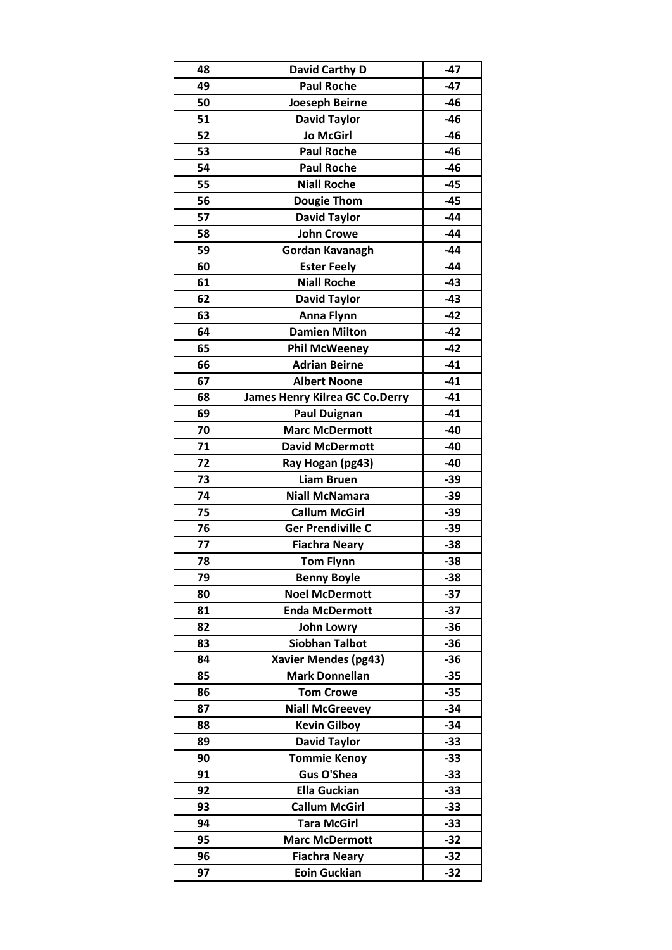| 48 | <b>David Carthy D</b>                 | $-47$ |
|----|---------------------------------------|-------|
| 49 | <b>Paul Roche</b>                     | -47   |
| 50 | <b>Joeseph Beirne</b>                 | -46   |
| 51 | <b>David Taylor</b>                   | $-46$ |
| 52 | <b>Jo McGirl</b>                      | -46   |
| 53 | <b>Paul Roche</b>                     | -46   |
| 54 | <b>Paul Roche</b>                     | $-46$ |
| 55 | <b>Niall Roche</b>                    | $-45$ |
| 56 | <b>Dougie Thom</b>                    | $-45$ |
| 57 | <b>David Taylor</b>                   | $-44$ |
| 58 | <b>John Crowe</b>                     | $-44$ |
| 59 | Gordan Kavanagh                       | $-44$ |
| 60 | <b>Ester Feely</b>                    | $-44$ |
| 61 | <b>Niall Roche</b>                    | $-43$ |
| 62 | <b>David Taylor</b>                   | $-43$ |
| 63 | <b>Anna Flynn</b>                     | $-42$ |
| 64 | <b>Damien Milton</b>                  | $-42$ |
| 65 | <b>Phil McWeeney</b>                  | $-42$ |
| 66 | <b>Adrian Beirne</b>                  | $-41$ |
| 67 | <b>Albert Noone</b>                   | $-41$ |
| 68 | <b>James Henry Kilrea GC Co.Derry</b> | $-41$ |
| 69 | <b>Paul Duignan</b>                   | $-41$ |
| 70 | <b>Marc McDermott</b>                 | $-40$ |
| 71 | <b>David McDermott</b>                | $-40$ |
| 72 | Ray Hogan (pg43)                      | $-40$ |
| 73 | <b>Liam Bruen</b>                     | $-39$ |
| 74 | <b>Niall McNamara</b>                 | $-39$ |
| 75 | <b>Callum McGirl</b>                  | $-39$ |
| 76 | <b>Ger Prendiville C</b>              | $-39$ |
| 77 | <b>Fiachra Neary</b>                  | $-38$ |
| 78 | <b>Tom Flynn</b>                      | -38   |
| 79 | <b>Benny Boyle</b>                    | $-38$ |
| 80 | <b>Noel McDermott</b>                 | $-37$ |
| 81 | <b>Enda McDermott</b>                 | $-37$ |
| 82 | <b>John Lowry</b>                     | $-36$ |
| 83 | <b>Siobhan Talbot</b>                 | $-36$ |
| 84 | <b>Xavier Mendes (pg43)</b>           | $-36$ |
| 85 | <b>Mark Donnellan</b>                 | $-35$ |
| 86 | <b>Tom Crowe</b>                      | $-35$ |
| 87 | <b>Niall McGreevey</b>                | $-34$ |
| 88 | <b>Kevin Gilboy</b>                   | $-34$ |
| 89 | <b>David Taylor</b>                   | $-33$ |
| 90 | <b>Tommie Kenoy</b>                   | $-33$ |
| 91 | <b>Gus O'Shea</b>                     | $-33$ |
| 92 | <b>Ella Guckian</b>                   | $-33$ |
| 93 | <b>Callum McGirl</b>                  | $-33$ |
| 94 | <b>Tara McGirl</b>                    | $-33$ |
| 95 | <b>Marc McDermott</b>                 | $-32$ |
| 96 | <b>Fiachra Neary</b>                  | $-32$ |
| 97 | <b>Eoin Guckian</b>                   | $-32$ |
|    |                                       |       |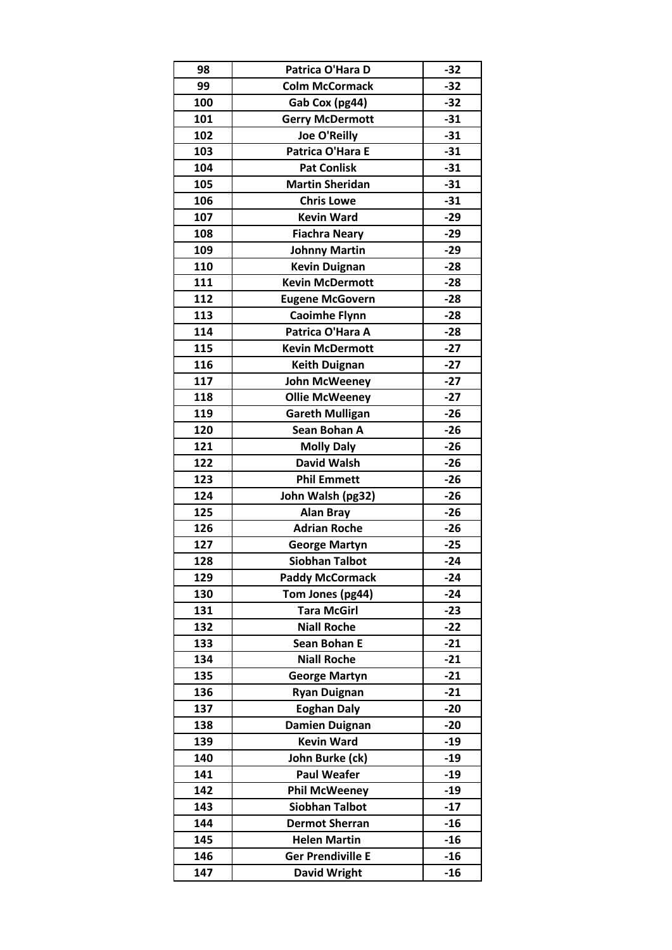| 98  | Patrica O'Hara D         | $-32$ |
|-----|--------------------------|-------|
| 99  | <b>Colm McCormack</b>    | $-32$ |
| 100 | Gab Cox (pg44)           | $-32$ |
| 101 | <b>Gerry McDermott</b>   | $-31$ |
| 102 | <b>Joe O'Reilly</b>      | $-31$ |
| 103 | Patrica O'Hara E         | $-31$ |
| 104 | <b>Pat Conlisk</b>       | $-31$ |
| 105 | <b>Martin Sheridan</b>   | $-31$ |
| 106 | <b>Chris Lowe</b>        | $-31$ |
| 107 | <b>Kevin Ward</b>        | $-29$ |
| 108 | <b>Fiachra Neary</b>     | $-29$ |
| 109 | <b>Johnny Martin</b>     | $-29$ |
| 110 | <b>Kevin Duignan</b>     | $-28$ |
| 111 | <b>Kevin McDermott</b>   | $-28$ |
| 112 | <b>Eugene McGovern</b>   | $-28$ |
| 113 | <b>Caoimhe Flynn</b>     | $-28$ |
| 114 | Patrica O'Hara A         | $-28$ |
| 115 | <b>Kevin McDermott</b>   | $-27$ |
| 116 | <b>Keith Duignan</b>     | $-27$ |
| 117 | <b>John McWeeney</b>     | $-27$ |
| 118 | <b>Ollie McWeeney</b>    | $-27$ |
| 119 | <b>Gareth Mulligan</b>   | $-26$ |
| 120 | Sean Bohan A             | $-26$ |
| 121 | <b>Molly Daly</b>        | $-26$ |
| 122 | <b>David Walsh</b>       | $-26$ |
| 123 | <b>Phil Emmett</b>       | $-26$ |
| 124 | John Walsh (pg32)        | $-26$ |
| 125 | <b>Alan Bray</b>         | $-26$ |
| 126 | <b>Adrian Roche</b>      | $-26$ |
| 127 | <b>George Martyn</b>     | $-25$ |
| 128 | <b>Siobhan Talbot</b>    | $-24$ |
| 129 | <b>Paddy McCormack</b>   | $-24$ |
| 130 | Tom Jones (pg44)         | $-24$ |
| 131 | <b>Tara McGirl</b>       | $-23$ |
| 132 | <b>Niall Roche</b>       | $-22$ |
| 133 | <b>Sean Bohan E</b>      | $-21$ |
| 134 | <b>Niall Roche</b>       | $-21$ |
| 135 | <b>George Martyn</b>     | $-21$ |
| 136 | <b>Ryan Duignan</b>      | $-21$ |
| 137 | <b>Eoghan Daly</b>       | $-20$ |
| 138 | <b>Damien Duignan</b>    | $-20$ |
| 139 | <b>Kevin Ward</b>        | $-19$ |
| 140 | John Burke (ck)          | $-19$ |
| 141 | <b>Paul Weafer</b>       | $-19$ |
| 142 | <b>Phil McWeeney</b>     | $-19$ |
| 143 | <b>Siobhan Talbot</b>    | $-17$ |
| 144 | <b>Dermot Sherran</b>    | $-16$ |
| 145 | <b>Helen Martin</b>      | $-16$ |
| 146 | <b>Ger Prendiville E</b> | $-16$ |
| 147 | <b>David Wright</b>      | $-16$ |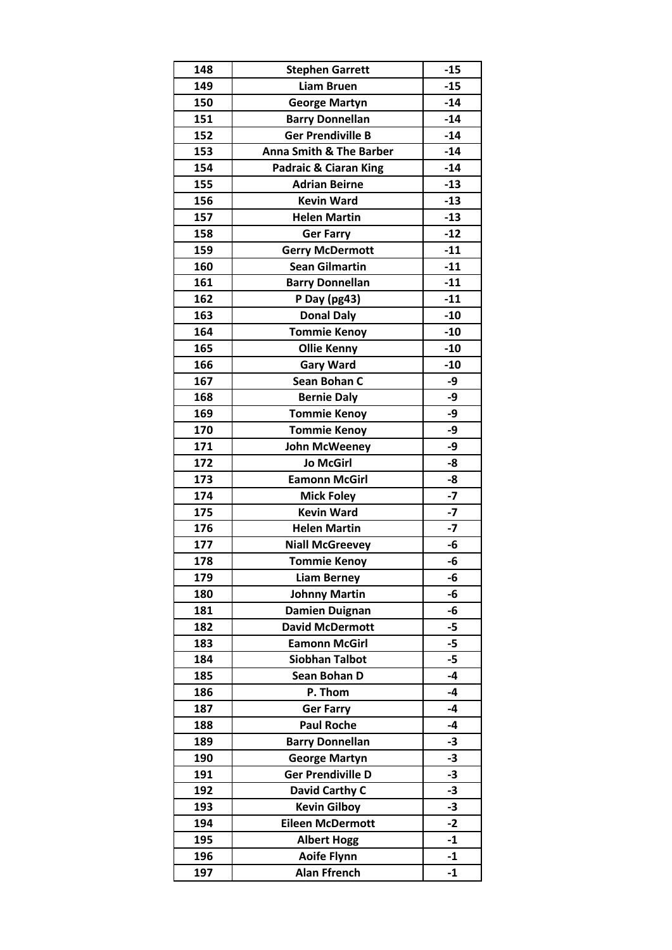| 148 | <b>Stephen Garrett</b>             | $-15$ |
|-----|------------------------------------|-------|
| 149 | <b>Liam Bruen</b>                  | $-15$ |
| 150 | <b>George Martyn</b>               | $-14$ |
| 151 | <b>Barry Donnellan</b>             | $-14$ |
| 152 | <b>Ger Prendiville B</b>           | $-14$ |
| 153 | <b>Anna Smith &amp; The Barber</b> | $-14$ |
| 154 | Padraic & Ciaran King              | $-14$ |
| 155 | <b>Adrian Beirne</b>               | $-13$ |
| 156 | <b>Kevin Ward</b>                  | $-13$ |
| 157 | <b>Helen Martin</b>                | $-13$ |
| 158 | <b>Ger Farry</b>                   | $-12$ |
| 159 | <b>Gerry McDermott</b>             | $-11$ |
| 160 | <b>Sean Gilmartin</b>              | $-11$ |
| 161 | <b>Barry Donnellan</b>             | $-11$ |
| 162 | P Day (pg43)                       | $-11$ |
| 163 | <b>Donal Daly</b>                  | $-10$ |
| 164 | <b>Tommie Kenoy</b>                | $-10$ |
| 165 | <b>Ollie Kenny</b>                 | $-10$ |
| 166 | <b>Gary Ward</b>                   | $-10$ |
| 167 | Sean Bohan C                       | -9    |
| 168 | <b>Bernie Daly</b>                 | -9    |
| 169 | <b>Tommie Kenoy</b>                | -9    |
| 170 | <b>Tommie Kenoy</b>                | -9    |
| 171 | <b>John McWeeney</b>               | -9    |
| 172 | <b>Jo McGirl</b>                   | -8    |
| 173 | <b>Eamonn McGirl</b>               | -8    |
| 174 | <b>Mick Foley</b>                  | $-7$  |
| 175 | <b>Kevin Ward</b>                  | $-7$  |
| 176 | <b>Helen Martin</b>                | $-7$  |
| 177 | <b>Niall McGreevey</b>             | -6    |
| 178 | <b>Tommie Kenoy</b>                | -6    |
| 179 | <b>Liam Berney</b>                 | -6    |
| 180 | <b>Johnny Martin</b>               | -6    |
| 181 | <b>Damien Duignan</b>              | -6    |
| 182 | <b>David McDermott</b>             | $-5$  |
| 183 | <b>Eamonn McGirl</b>               | -5    |
| 184 | <b>Siobhan Talbot</b>              | $-5$  |
| 185 | Sean Bohan D                       | $-4$  |
| 186 | P. Thom                            | $-4$  |
| 187 | <b>Ger Farry</b>                   | $-4$  |
| 188 | <b>Paul Roche</b>                  | -4    |
| 189 | <b>Barry Donnellan</b>             | $-3$  |
| 190 | <b>George Martyn</b>               | $-3$  |
| 191 | <b>Ger Prendiville D</b>           | $-3$  |
| 192 | David Carthy C                     | $-3$  |
| 193 | <b>Kevin Gilboy</b>                | $-3$  |
| 194 | <b>Eileen McDermott</b>            | $-2$  |
| 195 | <b>Albert Hogg</b>                 | $-1$  |
| 196 | <b>Aoife Flynn</b>                 | $-1$  |
| 197 | <b>Alan Ffrench</b>                | $-1$  |